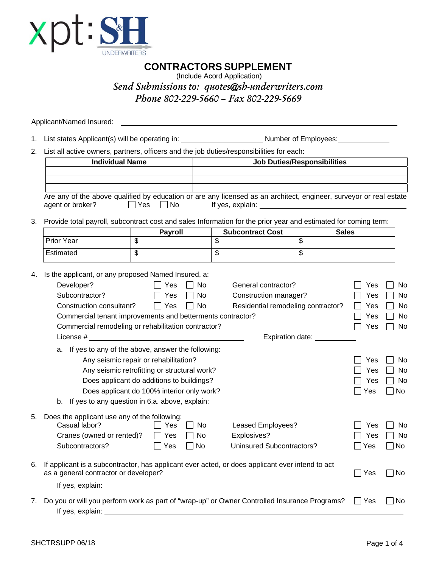

**CONTRACTORS SUPPLEMENT**

(Include Acord Application) *Send Submissions to: quotes@sh-underwriters.com Phone 802-229-5660 – Fax 802-229-5669*

Applicant/Named Insured: \_\_\_\_\_\_\_\_\_\_\_\_\_\_

1. List states Applicant(s) will be operating in: \_\_\_\_\_\_\_\_\_\_\_\_\_\_\_\_\_\_\_\_\_\_\_\_\_\_\_\_\_\_ Number of Employees: \_\_\_\_\_\_\_\_\_\_\_\_\_

2. List all active owners, partners, officers and the job duties/responsibilities for each:

| <b>Individual Name</b>                                                                                                                   |                                           |                                          | <b>Job Duties/Responsibilities</b>                                                                                                                                                                                                   |                          |              |           |  |  |  |
|------------------------------------------------------------------------------------------------------------------------------------------|-------------------------------------------|------------------------------------------|--------------------------------------------------------------------------------------------------------------------------------------------------------------------------------------------------------------------------------------|--------------------------|--------------|-----------|--|--|--|
| Are any of the above qualified by education or are any licensed as an architect, engineer, surveyor or real estate<br>agent or broker?   | $\square$ No<br>l IYes                    |                                          | If yes, explain: <u>contract the set of the set of the set of the set of the set of the set of the set of the set of the set of the set of the set of the set of the set of the set of the set of the set of the set of the set </u> |                          |              |           |  |  |  |
| Provide total payroll, subcontract cost and sales Information for the prior year and estimated for coming term:                          | Payroll                                   |                                          | <b>Subcontract Cost</b>                                                                                                                                                                                                              | <b>Sales</b>             |              |           |  |  |  |
| <b>Prior Year</b>                                                                                                                        | \$                                        |                                          | $\overline{\mathbf{3}}$                                                                                                                                                                                                              | \$                       |              |           |  |  |  |
| Estimated                                                                                                                                | \$                                        |                                          | $\overline{\mathbf{e}}$                                                                                                                                                                                                              | $\overline{\mathcal{S}}$ |              |           |  |  |  |
| Is the applicant, or any proposed Named Insured, a:                                                                                      |                                           |                                          |                                                                                                                                                                                                                                      |                          |              |           |  |  |  |
| Developer?                                                                                                                               | $\Box$ Yes                                | No                                       | General contractor?                                                                                                                                                                                                                  |                          | Yes          | No        |  |  |  |
| Subcontractor?<br>Yes                                                                                                                    |                                           |                                          | Construction manager?                                                                                                                                                                                                                |                          | Yes          | No        |  |  |  |
| Construction consultant?                                                                                                                 | $\Box$ Yes                                | Residential remodeling contractor?<br>No |                                                                                                                                                                                                                                      |                          | Yes          | No        |  |  |  |
| Commercial tenant improvements and betterments contractor?                                                                               |                                           |                                          |                                                                                                                                                                                                                                      | Yes                      | No           |           |  |  |  |
| Commercial remodeling or rehabilitation contractor?                                                                                      |                                           |                                          |                                                                                                                                                                                                                                      |                          | Yes          | No        |  |  |  |
| License #                                                                                                                                |                                           |                                          | Expiration date:                                                                                                                                                                                                                     |                          |              |           |  |  |  |
| a. If yes to any of the above, answer the following:                                                                                     |                                           |                                          |                                                                                                                                                                                                                                      |                          |              |           |  |  |  |
|                                                                                                                                          | Any seismic repair or rehabilitation?     |                                          |                                                                                                                                                                                                                                      |                          | Yes          | No        |  |  |  |
| Any seismic retrofitting or structural work?                                                                                             |                                           |                                          | Yes                                                                                                                                                                                                                                  | No                       |              |           |  |  |  |
|                                                                                                                                          | Does applicant do additions to buildings? |                                          |                                                                                                                                                                                                                                      |                          | Yes          | No.       |  |  |  |
| Does applicant do 100% interior only work?                                                                                               |                                           |                                          |                                                                                                                                                                                                                                      | $\sqsupset$ Yes          | $\sqcap$ No  |           |  |  |  |
| b. If yes to any question in 6.a. above, explain:                                                                                        |                                           |                                          |                                                                                                                                                                                                                                      |                          |              |           |  |  |  |
| Does the applicant use any of the following:                                                                                             |                                           |                                          |                                                                                                                                                                                                                                      |                          |              |           |  |  |  |
| Casual labor?                                                                                                                            | Yes                                       | <b>No</b>                                | Leased Employees?                                                                                                                                                                                                                    |                          | Yes          | No        |  |  |  |
| Cranes (owned or rented)?                                                                                                                | $\Box$ Yes                                | No                                       | Explosives?                                                                                                                                                                                                                          |                          | Yes          | No        |  |  |  |
| Subcontractors?                                                                                                                          | $\Box$ Yes                                | No<br>$\mathbf{I}$                       | Uninsured Subcontractors?                                                                                                                                                                                                            |                          | Yes          | $\Box$ No |  |  |  |
| If applicant is a subcontractor, has applicant ever acted, or does applicant ever intend to act<br>as a general contractor or developer? |                                           |                                          |                                                                                                                                                                                                                                      |                          | $\sqcap$ Yes | l No      |  |  |  |
|                                                                                                                                          |                                           |                                          |                                                                                                                                                                                                                                      |                          |              |           |  |  |  |
| Do you or will you perform work as part of "wrap-up" or Owner Controlled Insurance Programs?<br>If yes, explain:                         |                                           |                                          |                                                                                                                                                                                                                                      |                          | Yes          | No        |  |  |  |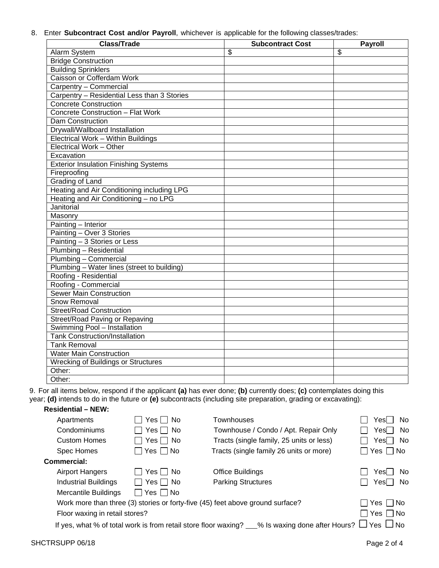8. Enter **Subcontract Cost and/or Payroll**, whichever is applicable for the following classes/trades:

| <b>Class/Trade</b>                           | <b>Subcontract Cost</b> | Payroll                 |
|----------------------------------------------|-------------------------|-------------------------|
| Alarm System                                 | \$                      | $\overline{\mathbf{s}}$ |
| <b>Bridge Construction</b>                   |                         |                         |
| <b>Building Sprinklers</b>                   |                         |                         |
| Caisson or Cofferdam Work                    |                         |                         |
| Carpentry - Commercial                       |                         |                         |
| Carpentry - Residential Less than 3 Stories  |                         |                         |
| <b>Concrete Construction</b>                 |                         |                         |
| <b>Concrete Construction - Flat Work</b>     |                         |                         |
| Dam Construction                             |                         |                         |
| Drywall/Wallboard Installation               |                         |                         |
| Electrical Work - Within Buildings           |                         |                         |
| Electrical Work - Other                      |                         |                         |
| Excavation                                   |                         |                         |
| <b>Exterior Insulation Finishing Systems</b> |                         |                         |
| Fireproofing                                 |                         |                         |
| <b>Grading of Land</b>                       |                         |                         |
| Heating and Air Conditioning including LPG   |                         |                         |
| Heating and Air Conditioning - no LPG        |                         |                         |
| Janitorial                                   |                         |                         |
| Masonry                                      |                         |                         |
| Painting - Interior                          |                         |                         |
| Painting - Over 3 Stories                    |                         |                         |
| Painting - 3 Stories or Less                 |                         |                         |
| Plumbing - Residential                       |                         |                         |
| Plumbing - Commercial                        |                         |                         |
| Plumbing - Water lines (street to building)  |                         |                         |
| Roofing - Residential                        |                         |                         |
| Roofing - Commercial                         |                         |                         |
| <b>Sewer Main Construction</b>               |                         |                         |
| <b>Snow Removal</b>                          |                         |                         |
| <b>Street/Road Construction</b>              |                         |                         |
| Street/Road Paving or Repaving               |                         |                         |
| Swimming Pool - Installation                 |                         |                         |
| <b>Tank Construction/Installation</b>        |                         |                         |
| <b>Tank Removal</b>                          |                         |                         |
| <b>Water Main Construction</b>               |                         |                         |
| <b>Wrecking of Buildings or Structures</b>   |                         |                         |
| Other:                                       |                         |                         |
| Other:                                       |                         |                         |

9. For all items below, respond if the applicant **(a)** has ever done; **(b)** currently does; **(c)** contemplates doing this year; **(d)** intends to do in the future or **(e)** subcontracts (including site preparation, grading or excavating):

## **Residential – NEW:**

| Apartments                                                      | Yes $\Box$ No        | Townhouses                                                                     | Yes   No             |
|-----------------------------------------------------------------|----------------------|--------------------------------------------------------------------------------|----------------------|
| Condominiums                                                    | Yes $\Box$ No        | Townhouse / Condo / Apt. Repair Only                                           | Yes <sup>N</sup> No  |
| <b>Custom Homes</b>                                             | Yes $\Box$ No        | Tracts (single family, 25 units or less)                                       | Yes∏ No              |
| Spec Homes                                                      | $\Box$ Yes $\Box$ No | Tracts (single family 26 units or more)                                        | $\Box$ Yes $\Box$ No |
| Commercial:                                                     |                      |                                                                                |                      |
| <b>Airport Hangers</b>                                          | Yes     No           | Office Buildings                                                               | Yes    No            |
| <b>Industrial Buildings</b>                                     | $\Box$ Yes $\Box$ No | <b>Parking Structures</b>                                                      | Yes No               |
| <b>Mercantile Buildings</b>                                     | $\Box$ Yes $\Box$ No |                                                                                |                      |
|                                                                 |                      | Work more than three (3) stories or forty-five (45) feet above ground surface? | □ Yes □ No           |
| Floor waxing in retail stores?                                  |                      |                                                                                | $\Box$ Yes $\Box$ No |
| If yes, what % of total work is from retail store floor waxing? |                      | % Is waxing done after Hours? $\Box$ Yes $\Box$ No                             |                      |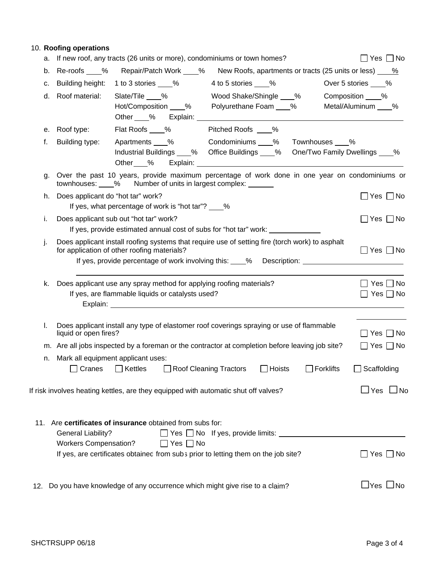## 10. **Roofing operations**

|     | a. If new roof, any tracts (26 units or more), condominiums or town homes?                                                                            |                                                     |                      |                                                                                                                                                                                                                                |               |                                       | $\Box$ Yes $\Box$ No |                      |
|-----|-------------------------------------------------------------------------------------------------------------------------------------------------------|-----------------------------------------------------|----------------------|--------------------------------------------------------------------------------------------------------------------------------------------------------------------------------------------------------------------------------|---------------|---------------------------------------|----------------------|----------------------|
| b.  | Re-roofs %                                                                                                                                            |                                                     | Repair/Patch Work 46 | New Roofs, apartments or tracts (25 units or less) <u>9%</u>                                                                                                                                                                   |               |                                       |                      |                      |
| с.  | Building height:                                                                                                                                      | 1 to 3 stories ____%                                |                      | 4 to 5 stories 6 6 %                                                                                                                                                                                                           |               | Over 5 stories ____%                  |                      |                      |
| d.  | Roof material:                                                                                                                                        | Slate/Tile %                                        |                      | Wood Shake/Shingle 46%<br>Hot/Composition 6 % Polyurethane Foam 6 %<br>Other % Explain: Demonstructure                                                                                                                         |               | Composition %<br>Metal/Aluminum ____% |                      |                      |
| е.  | Roof type:                                                                                                                                            |                                                     |                      | Flat Roofs ___% Pitched Roofs ___%                                                                                                                                                                                             |               |                                       |                      |                      |
| f.  | Building type:                                                                                                                                        |                                                     |                      | Apartments % Condominiums % Townhouses %<br>Industrial Buildings ____% Office Buildings ____% One/Two Family Dwellings ____%                                                                                                   |               |                                       |                      |                      |
| g.  | Over the past 10 years, provide maximum percentage of work done in one year on condominiums or<br>townhouses: 6 % Number of units in largest complex: |                                                     |                      |                                                                                                                                                                                                                                |               |                                       |                      |                      |
| h.  | Does applicant do "hot tar" work?                                                                                                                     | If yes, what percentage of work is "hot tar"? ____% |                      |                                                                                                                                                                                                                                |               |                                       | $\Box$ Yes $\Box$ No |                      |
| i.  | Does applicant sub out "hot tar" work?                                                                                                                |                                                     |                      | If yes, provide estimated annual cost of subs for "hot tar" work: ___________                                                                                                                                                  |               |                                       | $\Box$ Yes $\Box$ No |                      |
| j.  | Does applicant install roofing systems that require use of setting fire (torch work) to asphalt<br>for application of other roofing materials?        |                                                     |                      | If yes, provide percentage of work involving this: ____% Description: ______________________________                                                                                                                           |               |                                       | $\Box$ Yes $\Box$ No |                      |
| k.  | Does applicant use any spray method for applying roofing materials?                                                                                   | If yes, are flammable liquids or catalysts used?    |                      | Explain: Explaint and the state of the state of the state of the state of the state of the state of the state of the state of the state of the state of the state of the state of the state of the state of the state of the s |               |                                       | $\Box$ Yes $\Box$ No | $Yes \Box No$        |
| I.  | Does applicant install any type of elastomer roof coverings spraying or use of flammable<br>liquid or open fires?                                     |                                                     |                      |                                                                                                                                                                                                                                |               |                                       | ∐ Yes ∐ No           |                      |
|     | m. Are all jobs inspected by a foreman or the contractor at completion before leaving job site?                                                       |                                                     |                      |                                                                                                                                                                                                                                |               |                                       |                      | $Yes \Box No$        |
| n.  | Mark all equipment applicant uses:<br>$\Box$ Cranes                                                                                                   | $\Box$ Kettles                                      |                      | Roof Cleaning Tractors                                                                                                                                                                                                         | $\Box$ Hoists | $\Box$ Forklifts                      | $\Box$ Scaffolding   |                      |
|     | If risk involves heating kettles, are they equipped with automatic shut off valves?                                                                   |                                                     |                      |                                                                                                                                                                                                                                |               |                                       |                      | $\Box$ Yes $\Box$ No |
| 11. | Are certificates of insurance obtained from subs for:<br><b>General Liability?</b><br><b>Workers Compensation?</b>                                    |                                                     | コ Yes ロ No           | $\Box$ Yes $\Box$ No If yes, provide limits: $\Box$                                                                                                                                                                            |               |                                       |                      |                      |
|     | If yes, are certificates obtained from subs prior to letting them on the job site?                                                                    |                                                     |                      |                                                                                                                                                                                                                                |               |                                       |                      | Yes     No           |
| 12. | Do you have knowledge of any occurrence which might give rise to a claim?                                                                             |                                                     |                      |                                                                                                                                                                                                                                |               |                                       | $\Box$ Yes $\Box$ No |                      |